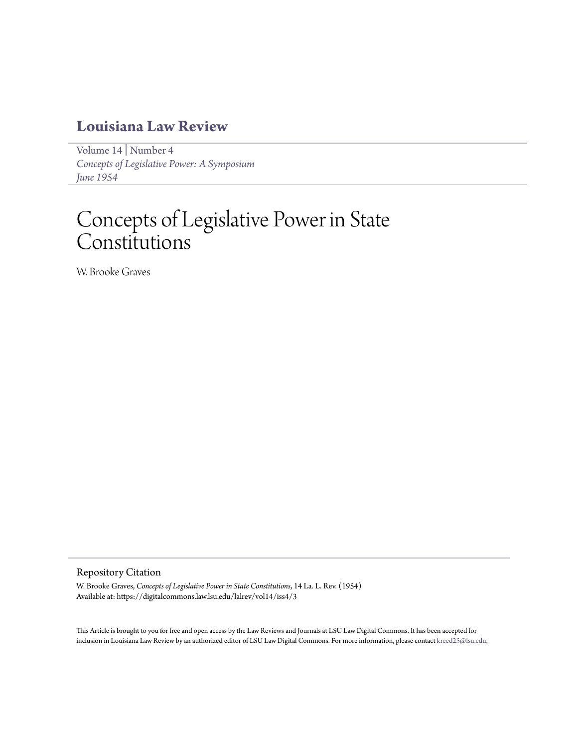## **[Louisiana Law Review](https://digitalcommons.law.lsu.edu/lalrev)**

[Volume 14](https://digitalcommons.law.lsu.edu/lalrev/vol14) | [Number 4](https://digitalcommons.law.lsu.edu/lalrev/vol14/iss4) *[Concepts of Legislative Power: A Symposium](https://digitalcommons.law.lsu.edu/lalrev/vol14/iss4) [June 1954](https://digitalcommons.law.lsu.edu/lalrev/vol14/iss4)*

# Concepts of Legislative Power in State Constitutions

W. Brooke Graves

### Repository Citation

W. Brooke Graves, *Concepts of Legislative Power in State Constitutions*, 14 La. L. Rev. (1954) Available at: https://digitalcommons.law.lsu.edu/lalrev/vol14/iss4/3

This Article is brought to you for free and open access by the Law Reviews and Journals at LSU Law Digital Commons. It has been accepted for inclusion in Louisiana Law Review by an authorized editor of LSU Law Digital Commons. For more information, please contact [kreed25@lsu.edu](mailto:kreed25@lsu.edu).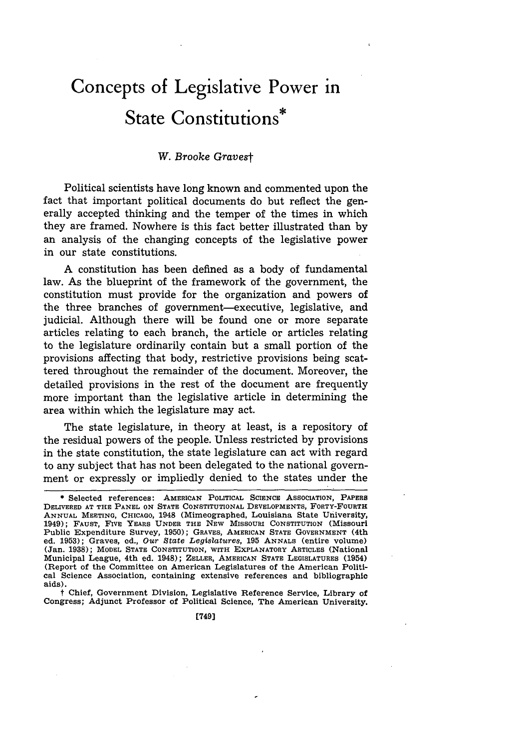# **Concepts of Legislative Power in State Constitutions\***

#### W. *Brooke Gravest*

Political scientists have long known and commented upon the fact that important political documents do but reflect the generally accepted thinking and the temper of the times in which they are framed. Nowhere is this fact better illustrated than by an analysis of the changing concepts of the legislative power in our state constitutions.

A constitution has been defined as a body of fundamental law. As the blueprint of the framework of the government, the constitution must provide for the organization and powers of the three branches of government-executive, legislative, and judicial. Although there will be found one or more separate articles relating to each branch, the article or articles relating to the legislature ordinarily contain but a small portion of the provisions affecting that body, restrictive provisions being scattered throughout the remainder of the document. Moreover, the detailed provisions in the rest of the document are frequently more important than the legislative article in determining the area within which the legislature may act.

The state legislature, in theory at least, is a repository of the residual powers of the people. Unless restricted by provisions in the state constitution, the state legislature can act with regard to any subject that has not been delegated to the national government or expressly or impliedly denied to the states under the

t Chief, **Government Division, Legislative Reference Service, Library of Congress; Adjunct Professor of Political Science, The American University.**

<sup>\*</sup> **Selected references: AMERICAN POLITICAL SCIENCE ASSOCIATION, PAPERS DELIVERED AT THE PANEL ON STATE CONSTITUTIONAL DEVELOPMENTS, FORTY-FOURTH ANNUAL** MEETING, **CHICAGO,** 1948 **(Mimeographed, Louisiana State University,** 1949); **FAUST, FIVE YEARS UNDER THE NEW MISSOURI CONSTITUTION (Missouri Public Expenditure Survey, 1950); GRAVES, AMERICAN STATE GOVERNMENT** (4th **ed. 1953); Graves, od.,** *Our State Legislatures,* **195 ANNALS (entire volume) (Jan. 1938); MODEL STATE CONSTITUTION, WITH EXPLANATORY ARTICLES (National Municipal League,** 4th ed. 1948); **ZELLER,** AMERICAN **STATE LEGISLATURES** (1954) **(Report of the Committee on American Legislatures of the American Political Science Association, containing extensive references and bibliographic aids).**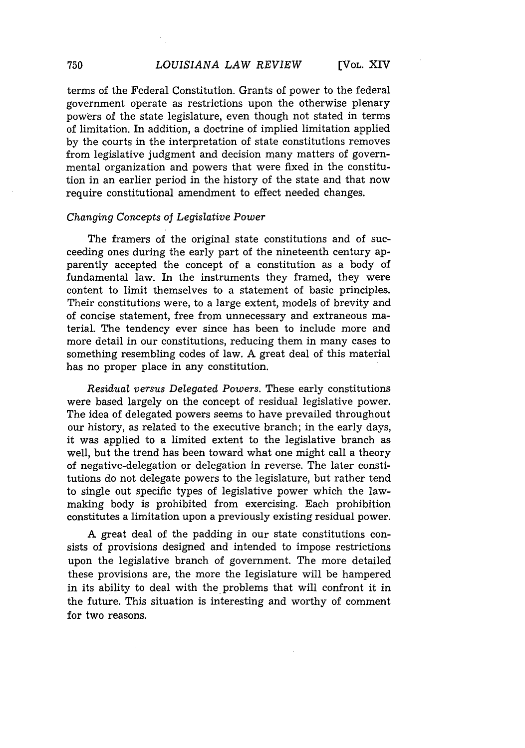terms of the Federal Constitution. Grants of power to the federal government operate as restrictions upon the otherwise plenary powers of the state legislature, even though not stated in terms of limitation. In addition, a doctrine of implied limitation applied by the courts in the interpretation of state constitutions removes from legislative judgment and decision many matters of governmental organization and powers that were fixed in the constitution in an earlier period in the history of the state and that now require constitutional amendment to effect needed changes.

#### *Changing Concepts of Legislative Power*

The framers of the original state constitutions and of succeeding ones during the early part of the nineteenth century apparently accepted the concept of a constitution as a body of fundamental law. In the instruments they framed, they were content to limit themselves to a statement of basic principles. Their constitutions were, to a large extent, models of brevity and of concise statement, free from unnecessary and extraneous material. The tendency ever since has been to include more and more detail in our constitutions, reducing them in many cases to something resembling codes of law. A great deal of this material has no proper place in any constitution.

*Residual versus Delegated Powers.* These early constitutions were based largely on the concept of residual legislative power. The idea of delegated powers seems to have prevailed throughout our history, as related to the executive branch; in the early days, it was applied to a limited extent to the legislative branch as well, but the trend has been toward what one might call a theory of negative-delegation or delegation in reverse. The later constitutions do not delegate powers to the legislature, but rather tend to single out specific types of legislative power which the lawmaking body is prohibited from exercising. Each prohibition constitutes a limitation upon a previously existing residual power.

A great deal of the padding in our state constitutions consists of provisions designed and intended to impose restrictions upon the legislative branch of government. The more detailed these provisions are, the more the legislature will be hampered in its ability to deal with the problems that will confront it in the future. This situation is interesting and worthy of comment for two reasons.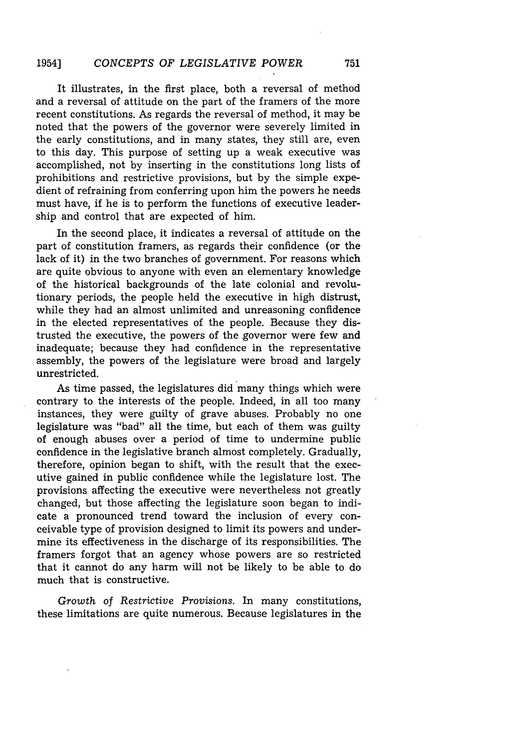#### *CONCEPTS OF LEGISLATIVE POWER* 1954]

It illustrates, in the first place, both a reversal of method and a reversal of attitude on the part of the framers of the more recent constitutions. As regards the reversal of method, it may be noted that the powers of the governor were severely limited in the early constitutions, and in many states, they still are, even to this day. This purpose of setting up a weak executive was accomplished, not by inserting in the constitutions long lists of prohibitions and restrictive provisions, but by the simple expedient of refraining from conferring upon him the powers he needs must have, if he is to perform the functions of executive leadership and control that are expected of him.

In the second place, it indicates a reversal of attitude on the part of constitution framers, as regards their confidence (or the lack of it) in the two branches of government. For reasons which are quite obvious to anyone with even an elementary knowledge of the historical backgrounds of the late colonial and revolutionary periods, the people held the executive in high distrust, while they had an almost unlimited and unreasoning confidence in the elected representatives of the people. Because they distrusted the executive, the powers of the governor were few and inadequate; because they had confidence in the representative assembly, the powers of the legislature were broad and largely unrestricted.

As time passed, the legislatures did many things which were contrary to the interests of the people. Indeed, in all too many instances, they were guilty of grave abuses. Probably no one legislature was "bad" all the time, but each of them was guilty of enough abuses over a period of time to undermine public confidence in the legislative branch almost completely. Gradually, therefore, opinion began to shift, with the result that the executive gained in public confidence while the legislature lost. The provisions affecting the executive were nevertheless not greatly changed, but those affecting the legislature soon began to indicate a pronounced trend toward the inclusion of every conceivable type of provision designed to limit its powers and undermine its effectiveness in the discharge of its responsibilities. The framers forgot that an agency whose powers are so restricted that it cannot do any harm will not be likely to be able to do much that is constructive.

*Growth* of *Restrictive Provisions.* In many constitutions, these limitations are quite numerous. Because legislatures in the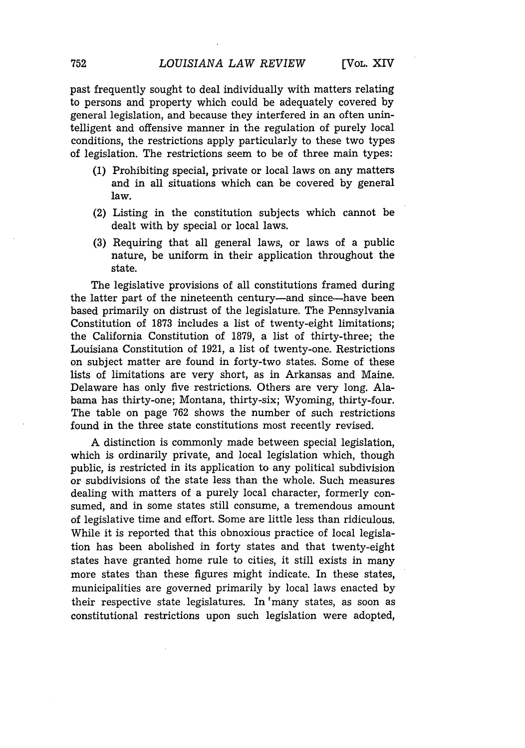past frequently sought to deal individually with matters relating to persons and property which could be adequately covered by general legislation, and because they interfered in an often unintelligent and offensive manner in the regulation of purely local conditions, the restrictions apply particularly to these two types of legislation. The restrictions seem to be of three main types:

- (1) Prohibiting special, private or local laws on any matters and in all situations which can be covered by general law.
- (2) Listing in the constitution subjects which cannot be dealt with by special or local laws.
- (3) Requiring that all general laws, or laws of a public nature, be uniform in their application throughout the state.

The legislative provisions of all constitutions framed during the latter part of the nineteenth century-and since-have been based primarily on distrust of the legislature. The Pennsylvania Constitution of 1873 includes a list of twenty-eight limitations; the California Constitution of 1879, a list of thirty-three; the Louisiana Constitution of 1921, a list of twenty-one. Restrictions on subject matter are found in forty-two states. Some of these lists of limitations are very short, as in Arkansas and Maine. Delaware has only five restrictions. Others are very long. Alabama has thirty-one; Montana, thirty-six; Wyoming, thirty-four. The table on page 762 shows the number of such restrictions found in the three state constitutions most recently revised.

A distinction is commonly made between special legislation, which is ordinarily private, and local legislation which, though public, is restricted in its application to any political subdivision or subdivisions of the state less than the whole. Such measures dealing with matters of a purely local character, formerly consumed, and in some states still consume, a tremendous amount of legislative time and effort. Some are little less than ridiculous. While it is reported that this obnoxious practice of local legislation has been abolished in forty states and that twenty-eight states have granted home rule to cities, it still exists in many more states than these figures might indicate. In these states, municipalities are governed primarily by local laws enacted by their respective state legislatures. In 'many states, as soon as constitutional restrictions upon such legislation were adopted,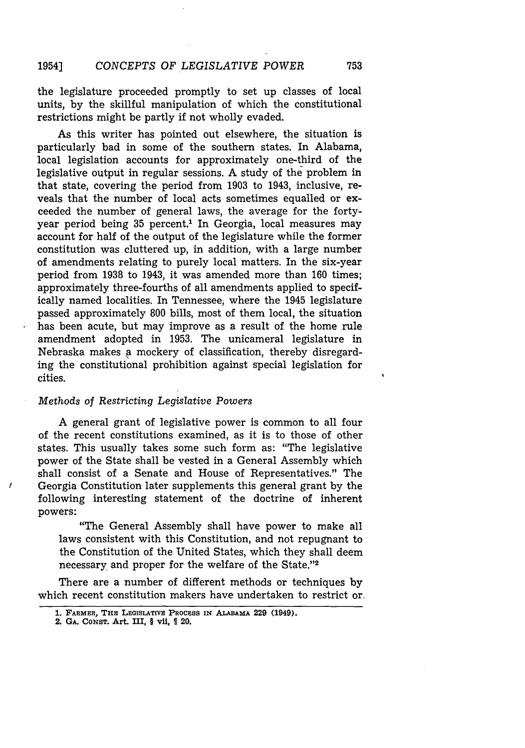the legislature proceeded promptly to set up classes of local units, by the skillful manipulation of which the constitutional restrictions might be partly if not wholly evaded.

As this writer has pointed out elsewhere, the situation is particularly bad in some of the southern states. In Alabama, local legislation accounts for approximately one-third of the legislative output in regular sessions. A study of the problem in that state, covering the period from 1903 to 1943, inclusive, reveals that the number of local acts sometimes equalled or exceeded the number of general laws, the average for the fortyyear period being 35 percent.' In Georgia, local measures may account for half of the output of the legislature while the former constitution was cluttered up, in addition, with a large number of amendments relating to purely local matters. In the six-year period from 1938 to 1943, it was amended more than 160 times; approximately three-fourths of all amendments applied to specifically named localities. In Tennessee, where the 1945 legislature passed approximately 800 bills, most of them local, the situation has been acute, but may improve as a result of the home rule amendment adopted in 1953. The unicameral legislature in Nebraska makes **a** mockery of classification, thereby disregarding the constitutional prohibition against special legislation for cities.

#### *Methods of Restricting Legislative Powers*

A general grant of legislative power is common to all four of the recent constitutions examined, as it is to those of other states. This usually takes some such form as: "The legislative power of the State shall be vested in a General Assembly which shall consist of a Senate and House of Representatives." The Georgia Constitution later supplements this general grant **by** the following interesting statement of the doctrine of inherent powers:

"The General Assembly shall have power to make all laws consistent with this Constitution, and not repugnant to the Constitution of the United States, which they shall deem necessary and proper for the welfare of the State."<sup>2</sup>

There are a number of different methods or techniques by which recent constitution makers have undertaken to restrict or.

<sup>1</sup>

**<sup>1.</sup> FARMER, THE LEGISLATIVE PROCESS IN ALABAMA 229** (1949).

**<sup>2.</sup> GA. CONST. Art. III, § vii, 20.**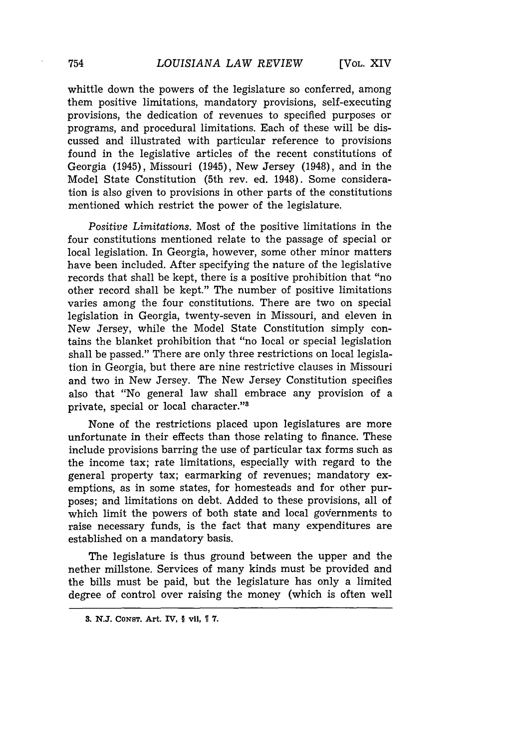whittle down the powers of the legislature so conferred, among them positive limitations, mandatory provisions, self-executing provisions, the dedication of revenues to specified purposes or programs, and procedural limitations. Each of these will be discussed and illustrated with particular reference to provisions found in the legislative articles of the recent constitutions of Georgia (1945), Missouri (1945), New Jersey (1948), and in the Model State Constitution (5th rev. ed. 1948). Some consideration is also given to provisions in other parts of the constitutions mentioned which restrict the power of the legislature.

*Positive Limitations.* Most of the positive limitations in the four constitutions mentioned relate to the passage of special or local legislation. In Georgia, however, some other minor matters have been included. After specifying the nature of the legislative records that shall be kept, there is a positive prohibition that "no other record shall be kept." The number of positive limitations varies among the four constitutions. There are two on special legislation in Georgia, twenty-seven in Missouri, and eleven in New Jersey, while the Model State Constitution simply contains the blanket prohibition that "no local or special legislation shall be passed." There are only three restrictions on local legislation in Georgia, but there are nine restrictive clauses in Missouri and two in New Jersey. The New Jersey Constitution specifies also that "No general law shall embrace any provision of a private, special or local character."<sup>8</sup>

None of the restrictions placed upon legislatures are more unfortunate in their effects than those relating to finance. These include provisions barring the use of particular tax forms such as the income tax; rate limitations, especially with regard to the general property tax; earmarking of revenues; mandatory exemptions, as in some states, for homesteads and for other purposes; and limitations on debt. Added to these provisions, all of which limit the powers of both state and local governments to raise necessary funds, is the fact that many expenditures are established on a mandatory basis.

The legislature is thus ground between the upper and the nether millstone. Services of many kinds must be provided and the bills must be paid, but the legislature has only a limited degree of control over raising the money (which is often well

**<sup>3.</sup> N.J. CONST. Art, IV,** § **vii,** T **7.**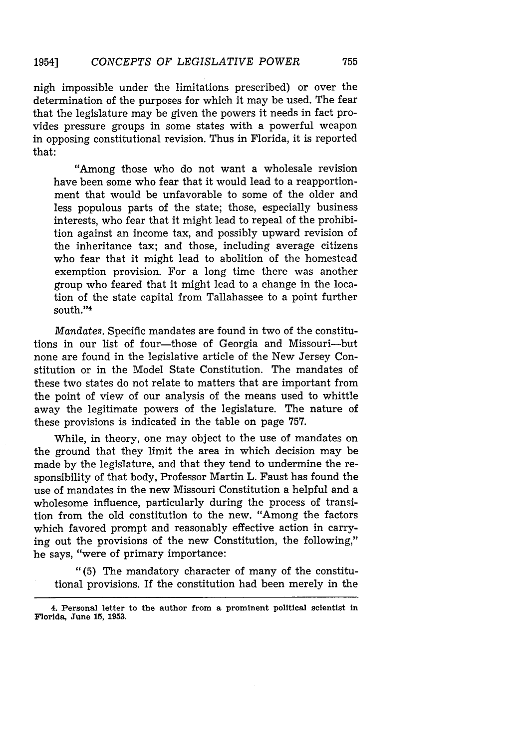nigh impossible under the limitations prescribed) or over the determination of the purposes for which it may be used. The fear that the legislature may be given the powers it needs in fact provides pressure groups in some states with a powerful weapon in opposing constitutional revision. Thus in Florida, it is reported that:

"Among those who do not want a wholesale revision have been some who fear that it would lead to a reapportionment that would be unfavorable to some of the older and less populous parts of the state; those, especially business interests, who fear that it might lead to repeal of the prohibition against an income tax, and possibly upward revision of the inheritance tax; and those, including average citizens who fear that it might lead to abolition of the homestead exemption provision. For a long time there was another group who feared that it might lead to a change in the location of the state capital from Tallahassee to a point further south."<sup>4</sup>

*Mandates.* Specific mandates are found in two of the constitutions in our list of four-those of Georgia and Missouri-but none are found in the legislative article of the New Jersey Constitution or in the Model State Constitution. The mandates of these two states do not relate to matters that are important from the point of view of our analysis of the means used to whittle away the legitimate powers of the legislature. The nature of these provisions is indicated in the table on page 757.

While, in theory, one may object to the use of mandates on the ground that they limit the area in which decision may be made by the legislature, and that they tend to undermine the responsibility of that body, Professor Martin L. Faust has found the use of mandates in the new Missouri Constitution a helpful and a wholesome influence, particularly during the process of transition from the old constitution to the new. "Among the factors which favored prompt and reasonably effective action in carrying out the provisions of the new Constitution, the following," he says, "were of primary importance:

"(5) The mandatory character of many of the constitutional provisions. If the constitution had been merely in the

**<sup>4.</sup> Personal letter** to **the author from a prominent political** scientist **in** Florida, **June 15, 1953.**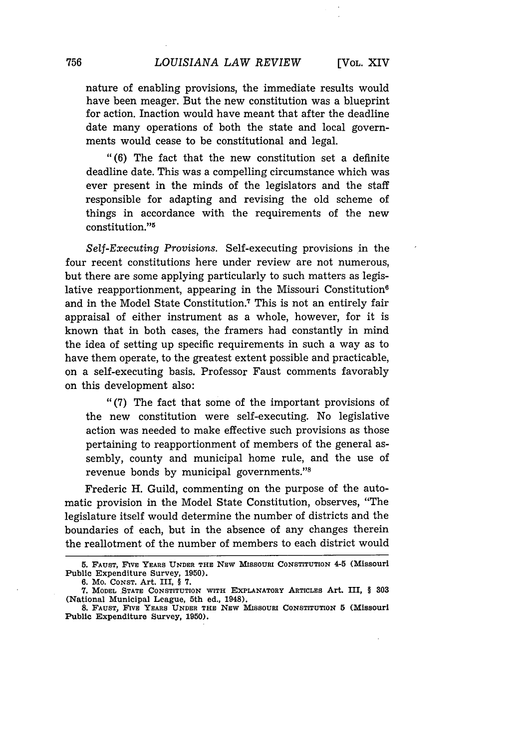nature of enabling provisions, the immediate results would have been meager. But the new constitution was a blueprint for action. Inaction would have meant that after the deadline date many operations of both the state and local governments would cease to be constitutional and legal.

"(6) The fact that the new constitution set a definite deadline date. This was a compelling circumstance which was ever present in the minds of the legislators and the staff responsible for adapting and revising the old scheme of things in accordance with the requirements of the new constitution."5

*Self-Executing Provisions.* Self-executing provisions in the four recent constitutions here under review are not numerous, but there are some applying particularly to such matters as legislative reapportionment, appearing in the Missouri Constitution<sup>6</sup> and in the Model State Constitution.7 This is not an entirely fair appraisal of either instrument as a whole, however, for it is known that in both cases, the framers had constantly in mind the idea of setting up specific requirements in such a way as to have them operate, to the greatest extent possible and practicable, on a self-executing basis. Professor Faust comments favorably on this development also:

"(7) The fact that some of the important provisions of the new constitution were self-executing. No legislative action was needed to make effective such provisions as those pertaining to reapportionment of members of the general assembly, county and municipal home rule, and the use of revenue bonds by municipal governments."

Frederic H. Guild, commenting on the purpose of the automatic provision in the Model State Constitution, observes, "The legislature itself would determine the number of districts and the boundaries of each, but in the absence of any changes therein the reallotment of the number of members to each district would

**<sup>5.</sup> FAUST, FIVE YEARS UNDER THE** NEW **MISSOURI** CONSTITUTION **4-5 (Missouri Public Expenditure Survey, 1950).**

**<sup>6.</sup> Mo. CONST. Art. III, § 7.**

**<sup>7.</sup>** MODEL **STATE CONSTITUTION WITH EXPLANATORY ARTICLES Art. III, § 303 (National Municipal League, 5th ed., 1948).**

**<sup>8.</sup> FAUST, FIVE YEARS UNDER THE NEW MISSOURI** CONSTITUTION **5 (Missouri Public Expenditure Survey, 1950).**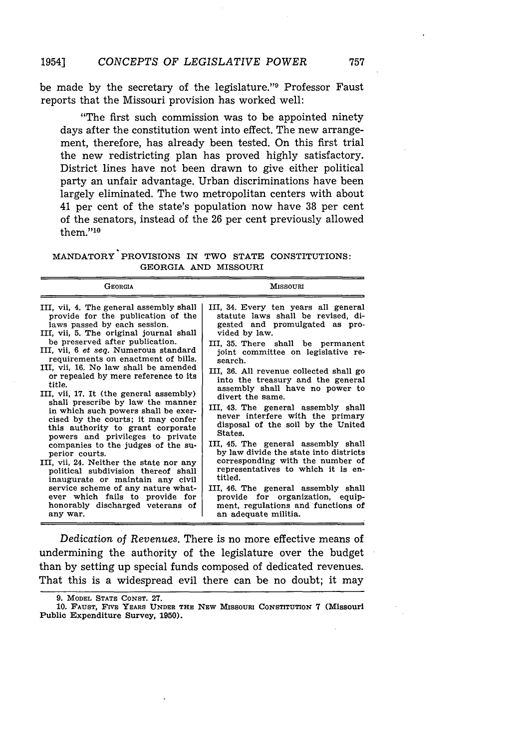be made by the secretary of the legislature."9 Professor Faust reports that the Missouri provision has worked well:

"The first such commission was to be appointed ninety days after the constitution went into effect. The new arrangement, therefore, has already been tested. On this first trial the new redistricting plan has proved highly satisfactory. District lines have not been drawn to give either political party an unfair advantage. Urban discriminations have been largely eliminated. The two metropolitan centers with about 41 per cent of the state's population now have 38 per cent of the senators, instead of the 26 per cent previously allowed them."<sup>10</sup>

MANDATORY PROVISIONS IN TWO **STATE** CONSTITUTIONS: GEORGIA **AND** MISSOURI

| <b>GEORGIA</b>                                                                                                                                                                                                                                                                                                                                                                                                                                                                                                                                                                                                                                                                                                                                                                                                                                                                                                              | <b>MISSOURI</b>                                                                                                                                                                                                                                                                                                                                                                                                                                                                                                                                                                                                                                                                                                                                                                                       |
|-----------------------------------------------------------------------------------------------------------------------------------------------------------------------------------------------------------------------------------------------------------------------------------------------------------------------------------------------------------------------------------------------------------------------------------------------------------------------------------------------------------------------------------------------------------------------------------------------------------------------------------------------------------------------------------------------------------------------------------------------------------------------------------------------------------------------------------------------------------------------------------------------------------------------------|-------------------------------------------------------------------------------------------------------------------------------------------------------------------------------------------------------------------------------------------------------------------------------------------------------------------------------------------------------------------------------------------------------------------------------------------------------------------------------------------------------------------------------------------------------------------------------------------------------------------------------------------------------------------------------------------------------------------------------------------------------------------------------------------------------|
| III, vii, 4. The general assembly shall<br>provide for the publication of the<br>laws passed by each session.<br>III, vii, 5. The original journal shall<br>be preserved after publication.<br>III, vii, 6 <i>et seq</i> . Numerous standard<br>requirements on enactment of bills.<br>III. vii. 16. No law shall be amended<br>or repealed by mere reference to its<br>title.<br>III, vii, 17. It (the general assembly)<br>shall prescribe by law the manner<br>in which such powers shall be exer-<br>cised by the courts; it may confer<br>this authority to grant corporate<br>powers and privileges to private<br>companies to the judges of the su-<br>perior courts.<br>III, vii, 24. Neither the state nor any<br>political subdivision thereof shall<br>inaugurate or maintain any civil<br>service scheme of any nature what-<br>ever which fails to provide for<br>honorably discharged veterans of<br>any war. | III, 34. Every ten years all general<br>statute laws shall be revised, di-<br>gested and promulgated as pro-<br>vided by law.<br>III, 35. There shall be permanent<br>joint committee on legislative re-<br>search.<br>III, 36. All revenue collected shall go<br>into the treasury and the general<br>assembly shall have no power to<br>divert the same.<br>III, 43. The general assembly shall<br>never interfere with the primary<br>disposal of the soil by the United<br>States.<br>III, 45. The general assembly shall<br>by law divide the state into districts<br>corresponding with the number of<br>representatives to which it is en-<br>titled.<br>III, 46. The general assembly shall<br>provide for organization, equip-<br>ment, regulations and functions of<br>an adequate militia. |

*Dedication of Revenues.* There is no more effective means of undermining the authority of the legislature over the budget than by setting up special funds composed of dedicated revenues. That this is a widespread evil there can be no doubt; it may

<sup>9.</sup> MODEL STATE CONST. 27.

<sup>10.</sup> FAUST, FIVE YEARS UNDER THE NEW MISSOURI CONSTITUTION 7 (Missouri Public Expenditure Survey, **1950).**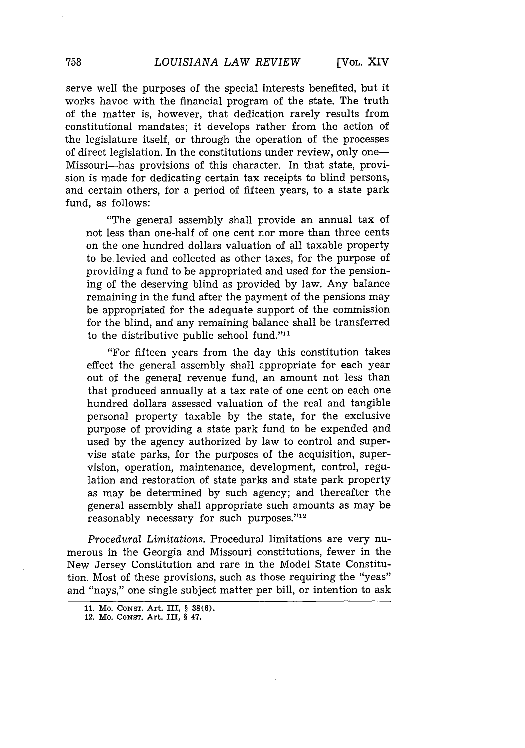serve well the purposes of the special interests benefited, but it works havoc with the financial program of the state. The truth of the matter is, however, that dedication rarely results from constitutional mandates; it develops rather from the action of the legislature itself, or through the operation of the processes of direct legislation. In the constitutions under review, only one-Missouri-has provisions of this character. In that state, provision is made for dedicating certain tax receipts to blind persons, and certain others, for a period of fifteen years, to a state park fund, as follows:

"The general assembly shall provide an annual tax of not less than one-half of one cent nor more than three cents on the one hundred dollars valuation of all taxable property to be. levied and collected as other taxes, for the purpose of providing a fund to be appropriated and used for the pensioning of the deserving blind as provided by law. Any balance remaining in the fund after the payment of the pensions may be appropriated for the adequate support of the commission for the blind, and any remaining balance shall be transferred to the distributive public school fund." $11$ 

"For fifteen years from the day this constitution takes effect the general assembly shall appropriate for each year out of the general revenue fund, an amount not less than that produced annually at a tax rate of one cent on each one hundred dollars assessed valuation of the real and tangible personal property taxable by the state, for the exclusive purpose of providing a state park fund to be expended and used by the agency authorized by law to control and supervise state parks, for the purposes of the acquisition, supervision, operation, maintenance, development, control, regulation and restoration of state parks and state park property as may be determined by such agency; and thereafter the general assembly shall appropriate such amounts as may be reasonably necessary for such purposes."12

*Procedural Limitations.* Procedural limitations are very numerous in the Georgia and Missouri constitutions, fewer in the New Jersey Constitution and rare in the Model State Constitution. Most of these provisions, such as those requiring the "yeas" and "nays," one single subject matter per bill, or intention to ask

**<sup>11.</sup> Mo. CONST.** Art. III, **§ 38(6).**

<sup>12.</sup> Mo. **CONST.** Art. III, **§** 47.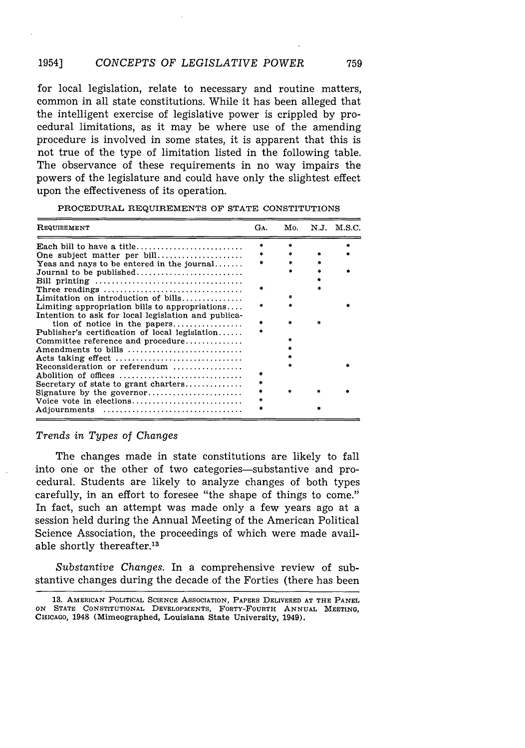#### 1954] *CONCEPTS OF LEGISLATIVE POWER* 759

for local legislation, relate to necessary and routine matters, common in all state constitutions. While it has been alleged that the intelligent exercise of legislative power is crippled by procedural limitations, as it may be where use of the amending procedure is involved in some states, it is apparent that this is not true of the type of limitation listed in the following table. The observance of these requirements in no way impairs the powers of the legislature and could have only the slightest effect upon the effectiveness of its operation.

| REQUIREMENT                                                         | GA. | Mo. | N.J. M.S.C. |
|---------------------------------------------------------------------|-----|-----|-------------|
|                                                                     |     |     |             |
| One subject matter per bill                                         |     |     |             |
| Yeas and nays to be entered in the journal                          |     |     |             |
| Journal to be published                                             |     |     |             |
|                                                                     |     |     |             |
| Three readings                                                      |     |     |             |
| Limitation on introduction of bills                                 |     |     |             |
| Limiting appropriation bills to appropriations                      |     |     |             |
| Intention to ask for local legislation and publica-                 |     |     |             |
|                                                                     |     |     |             |
| Publisher's certification of local legislation                      |     |     |             |
| Committee reference and procedure                                   |     |     |             |
| Amendments to bills $\dots\dots\dots\dots\dots\dots\dots\dots\dots$ |     |     |             |
| Acts taking effect                                                  |     |     |             |
| Reconsideration or referendum $\ldots$ ,,,,,,,,,,,,,                |     |     |             |
| Abolition of offices                                                |     |     |             |
| Secretary of state to grant charters                                |     |     |             |
|                                                                     |     |     |             |
| Voice vote in elections                                             |     |     |             |
| Adjournments                                                        |     |     |             |

PROCEDURAL REQUIREMENTS OF STATE CONSTITUTIONS

### *Trends in Types of Changes*

The changes made in state constitutions are likely to fall into one or the other of two categories-substantive and procedural. Students are likely to analyze changes of both types carefully, in an effort to foresee "the shape of things to come." In fact, such an attempt was made only a few years ago at a session held during the Annual Meeting of the American Political Science Association, the proceedings of which were made available shortly thereafter.<sup>13</sup>

*Substantive Changes.* In a comprehensive review of substantive changes during the decade of the Forties (there has been

**<sup>13.</sup>** AMERICAN POLITICAL SCIENCE **ASSOCIATION,** PAPERS DELIVERED **AT** THE **PANEL ON STATE** CONSTITUTIONAL DEVELOPMENTS, FORTY-FOURTH **ANNUAL MEETING,** CHICAGO, 1948 (Mimeographed, **Louisiana** State University, 1949).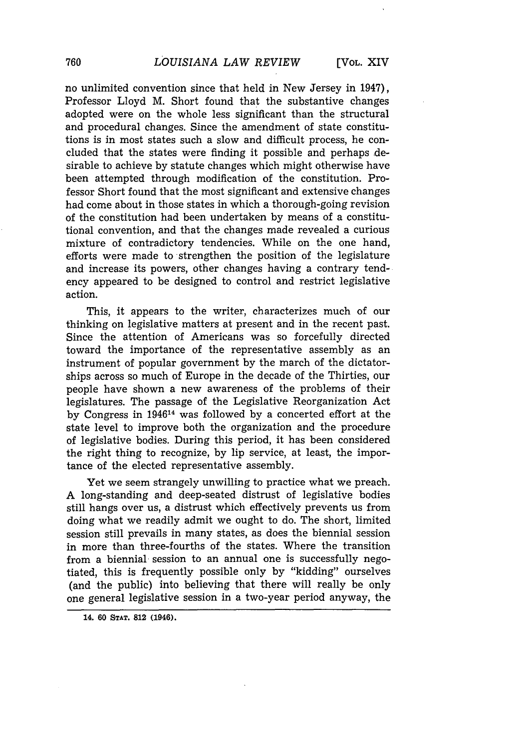no unlimited convention since that held in New Jersey in 1947), Professor Lloyd M. Short found that the substantive changes adopted were on the whole less significant than the structural and procedural changes. Since the amendment of state constitutions is in most states such a slow and difficult process, he concluded that the states were finding it possible and perhaps desirable to achieve by statute changes which might otherwise have been attempted through modification of the constitution. Professor Short found that the most significant and extensive changes had come about in those states in which a thorough-going revision of the constitution had been undertaken by means of a constitutional convention, and that the changes made revealed a curious mixture of contradictory tendencies. While on the one hand, efforts were made to strengthen the position of the legislature and increase its powers, other changes having a contrary tendency appeared to be designed to control and restrict legislative action.

This, it appears to the writer, characterizes much of our thinking on legislative matters at present and in the recent past. Since the attention of Americans was so forcefully directed toward the importance of the representative assembly as an instrument of popular government by the march of the dictatorships across so much of Europe in the decade of the Thirties, our people have shown a new awareness of the problems of their legislatures. The passage of the Legislative Reorganization Act by Congress in 194614 was followed by a concerted effort at the state level to improve both the organization and the procedure of legislative bodies. During this period, it has been considered the right thing to recognize, by lip service, at least, the importance of the elected representative assembly.

Yet we seem strangely unwilling to practice what we preach. A long-standing and deep-seated distrust of legislative bodies still hangs over us, a distrust which effectively prevents us from doing what we readily admit we ought to do. The short, limited session still prevails in many states, as does the biennial session in more than three-fourths of the states. Where the transition from a biennial session to an annual one is successfully negotiated, this is frequently possible only by "kidding" ourselves (and the public) into believing that there will really be only one general legislative session in a two-year period anyway, the

**14. 60 STAT. 812 (1946).**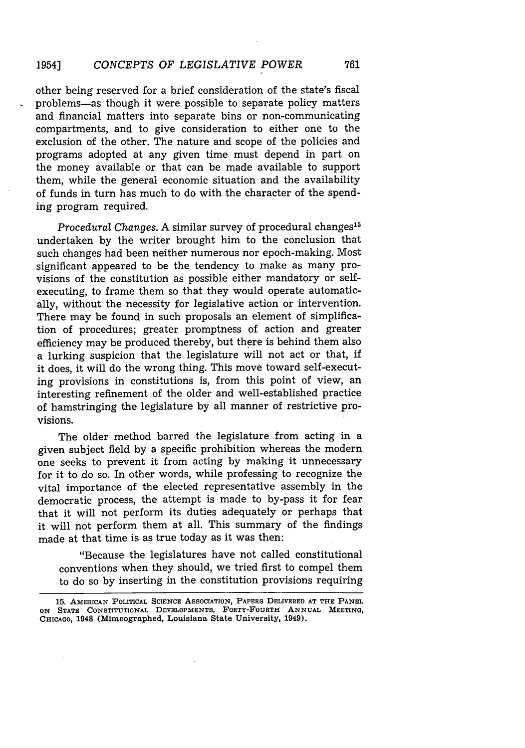other being reserved for a brief consideration of the state's fiscal problems-as though it were possible to separate policy matters and financial matters into separate bins or non-communicating compartments, and to give consideration to either one to the exclusion of the other. The nature and scope of the policies and programs adopted at any given time must depend in part on the money available or that can be made available to support them, while the general economic situation and the availability of funds in turn has much to do with the character of the spending program required.

*Procedural Changes.* A similar survey of procedural changes<sup>15</sup> undertaken by the writer brought him to the conclusion that such changes had been neither numerous nor epoch-making. Most significant appeared to be the tendency to make as many provisions of the constitution as possible either mandatory or selfexecuting, to frame them so that they would operate automatically, without the necessity for legislative action or intervention. There may be found in such proposals an element of simplification of procedures; greater promptness of action and greater efficiency may be produced thereby, but there is behind them also a lurking suspicion that the legislature will not act or that, if it does, it will do the wrong thing. This move toward self-executing provisions in constitutions is, from this point of view, an interesting refinement of the older and well-established practice of hamstringing the legislature by all manner of restrictive provisions.

The older method barred the legislature from acting in a given subject field by a specific prohibition whereas the modern one seeks to prevent it from acting by making it unnecessary for it to do so. In other words, while professing to recognize the vital importance of the elected representative assembly in the democratic process, the attempt is made to by-pass it for fear that it will not perform its duties adequately or perhaps that it will not perform them at all. This summary of the findings made at that time is as true today as it was then:

"Because the legislatures have not called constitutional conventions when they should, we tried first to compel them to do so by inserting in the constitution provisions requiring

**<sup>15.</sup> AMERICAN POLITICAL SCIENCE ASSOCIATION, PAPERS DELIVERED AT THE PANEL ON STATE CONSTITUTIONAL DEVELOPMENTS, FORTY-FOURTH ANNUAL MEETING,** CHICAGO, **1948 (Mimeographed, Louisiana State University, 1949).**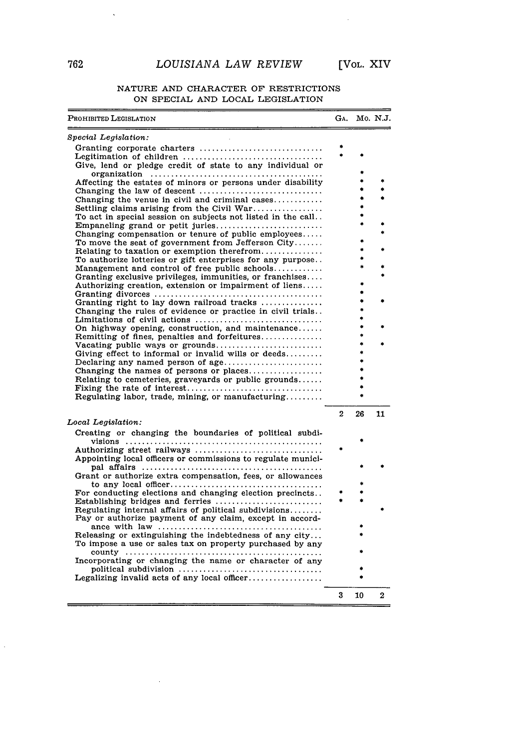## *LOUISIANA LAW REVIEW* [VOL. XIV

 $\bar{z}$ 

#### NATURE AND CHARACTER OF RESTRICTIONS ON SPECIAL AND LOCAL LEGISLATION

| Prohibited Legislation                                                                                            | GA.            |    | Mo. N.J. |
|-------------------------------------------------------------------------------------------------------------------|----------------|----|----------|
| Special Legislation:                                                                                              |                |    |          |
| Granting corporate charters                                                                                       |                |    |          |
|                                                                                                                   |                |    |          |
| Give, lend or pledge credit of state to any individual or                                                         |                |    |          |
|                                                                                                                   |                |    |          |
| Affecting the estates of minors or persons under disability                                                       |                |    |          |
|                                                                                                                   |                |    |          |
| Changing the venue in civil and criminal cases                                                                    |                |    |          |
| Settling claims arising from the Civil War                                                                        |                |    |          |
| To act in special session on subjects not listed in the call                                                      |                |    |          |
| Empaneling grand or petit juries                                                                                  |                |    |          |
| Changing compensation or tenure of public employees                                                               |                |    |          |
| To move the seat of government from Jefferson City                                                                |                |    |          |
| Relating to taxation or exemption therefrom                                                                       |                |    |          |
| To authorize lotteries or gift enterprises for any purpose                                                        |                |    |          |
| Management and control of free public schools                                                                     |                |    |          |
| Granting exclusive privileges, immunities, or franchises                                                          |                |    |          |
| Authorizing creation, extension or impairment of liens                                                            |                |    |          |
| Granting divorces $\ldots, \ldots, \ldots, \ldots, \ldots, \ldots, \ldots, \ldots, \ldots, \ldots$                |                |    |          |
| Granting right to lay down railroad tracks                                                                        |                |    |          |
| Changing the rules of evidence or practice in civil trials                                                        |                |    |          |
| Limitations of civil actions                                                                                      |                |    |          |
| On highway opening, construction, and maintenance                                                                 |                |    |          |
| Remitting of fines, penalties and forfeitures                                                                     |                |    |          |
| Vacating public ways or grounds                                                                                   |                |    |          |
| Giving effect to informal or invalid wills or deeds                                                               |                |    |          |
| Declaring any named person of age                                                                                 |                |    |          |
| Changing the names of persons or places                                                                           |                |    |          |
| Relating to cemeteries, graveyards or public grounds                                                              |                |    |          |
|                                                                                                                   |                |    |          |
| Regulating labor, trade, mining, or manufacturing                                                                 |                |    |          |
|                                                                                                                   | $\overline{2}$ | 26 | 11       |
| Local Legislation:                                                                                                |                |    |          |
| Creating or changing the boundaries of political subdi-                                                           |                |    |          |
|                                                                                                                   |                |    |          |
| Authorizing street railways                                                                                       |                |    |          |
| Appointing local officers or commissions to regulate munici-                                                      |                |    |          |
|                                                                                                                   |                |    |          |
| Grant or authorize extra compensation, fees, or allowances                                                        |                |    |          |
|                                                                                                                   |                |    |          |
| For conducting elections and changing election precincts                                                          |                |    |          |
| Establishing bridges and ferries                                                                                  |                |    |          |
| Regulating internal affairs of political subdivisions<br>Pay or authorize payment of any claim, except in accord- |                |    |          |
|                                                                                                                   |                |    |          |
| Releasing or extinguishing the indebtedness of any city                                                           |                |    |          |
|                                                                                                                   |                |    |          |
| To impose a use or sales tax on property purchased by any                                                         |                |    |          |
|                                                                                                                   |                |    |          |
| Incorporating or changing the name or character of any                                                            |                |    |          |
| political subdivision $\ldots, \ldots, \ldots, \ldots, \ldots, \ldots, \ldots, \ldots, \ldots$                    |                |    |          |
|                                                                                                                   |                |    |          |
|                                                                                                                   | 3              | 10 | 2        |

 $\bar{\mathcal{A}}$ 

 $\langle \cdot, \cdot \rangle$